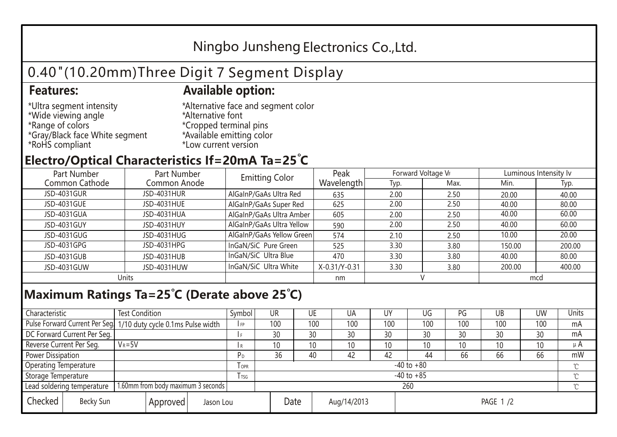## Ningbo Junsheng Electronics Co.,Ltd.

# 0.40"(10.20mm)Three Digit 7 Segment Display

#### **Features: Available option:**

- \*Ultra segment intensity \*Wide viewing angle \*Range of colors \*Gray/Black face White segment \*RoHS compliant
- \*Alternative face and segment color \*Alternative font \*Cropped terminal pins \*Available emitting color \*Low current version

### **Electro/Optical Characteristics If=20mA Ta=25 C**

| Part Number    | Part Number  | <b>Emitting Color</b>     | Peak          | Forward Voltage VF |      | Luminous Intensity Iv |        |  |
|----------------|--------------|---------------------------|---------------|--------------------|------|-----------------------|--------|--|
| Common Cathode | Common Anode |                           | Wavelength    | Typ.               | Max. | Min.                  | Typ.   |  |
| JSD-4031GUR    | JSD-4031HUR  | AlGaInP/GaAs Ultra Red    | 635           | 2.00               | 2.50 | 20.00                 | 40.00  |  |
| JSD-4031GUE    | JSD-4031HUE  | AlGaInP/GaAs Super Red    | 625           | 2.00               | 2.50 | 40.00                 | 80.00  |  |
| JSD-4031GUA    | JSD-4031HUA  | AlGaInP/GaAs Ultra Amber  | 605           | 2.00               | 2.50 | 40.00                 | 60.00  |  |
| JSD-4031GUY    | JSD-4031HUY  | AlGaInP/GaAs Ultra Yellow | 590           | 2.00               | 2.50 | 40.00                 | 60.00  |  |
| JSD-4031GUG    | JSD-4031HUG  | AlGaInP/GaAs Yellow Green | 574           | 2.10               | 2.50 | 10.00                 | 20.00  |  |
| JSD-4031GPG    | JSD-4031HPG  | InGaN/SiC Pure Green      | 525           | 3.30               | 3.80 | 150.00                | 200.00 |  |
| JSD-4031GUB    | JSD-4031HUB  | InGaN/SiC Ultra Blue      | 470           | 3.30               | 3.80 | 40.00                 | 80.00  |  |
| JSD-4031GUW    | JSD-4031HUW  | InGaN/SiC Ultra White     | X-0.31/Y-0.31 | 3.30               | 3.80 | 200.00                | 400.00 |  |
| Units          |              |                           | nm            |                    |      | mcd                   |        |  |

#### **Maximum Ratings Ta=25°C (Derate above 25°C)**

| Characteristic               |                                    | <b>Test Condition</b><br>Symbol                                 |                |         | UR              | UE |             | UA  | UΥ              | UG  | PG  | UB       | <b>UW</b> | Units   |
|------------------------------|------------------------------------|-----------------------------------------------------------------|----------------|---------|-----------------|----|-------------|-----|-----------------|-----|-----|----------|-----------|---------|
|                              |                                    | Pulse Forward Current Per Seg 1/10 duty cycle 0.1ms Pulse width |                |         | 100             |    | 100         | 100 | 100             | 100 | 100 | 100      | 100       | mA      |
| DC Forward Current Per Seg.  |                                    |                                                                 |                |         | 30              | 30 |             | 30  | 30              | 30  | 30  | 30       | 30        | mA      |
| Reverse Current Per Seg.     | $V_R = 5V$                         |                                                                 |                | I R     | 10 <sup>1</sup> | 10 |             | 10  | 10              | 10  | 10  | 10       | 10        | $\mu$ A |
| <b>Power Dissipation</b>     |                                    |                                                                 |                |         | 36              | 40 |             | 42  | 42              | 44  | 66  | 66       | 66        | mW      |
| <b>Operating Temperature</b> |                                    |                                                                 |                | $I$ OPR | $-40$ to $+80$  |    |             |     |                 |     |     |          |           |         |
| Storage Temperature          |                                    | l tsg                                                           | $-40$ to $+85$ |         |                 |    |             |     |                 |     |     | $\gamma$ |           |         |
| Lead soldering temperature   |                                    | 1.60mm from body maximum 3 seconds                              |                |         | 260             |    |             |     |                 |     |     |          |           |         |
| Checked                      | Becky Sun<br>Approved<br>Jason Lou |                                                                 |                | Date    |                 |    | Aug/14/2013 |     | <b>PAGE 1/2</b> |     |     |          |           |         |